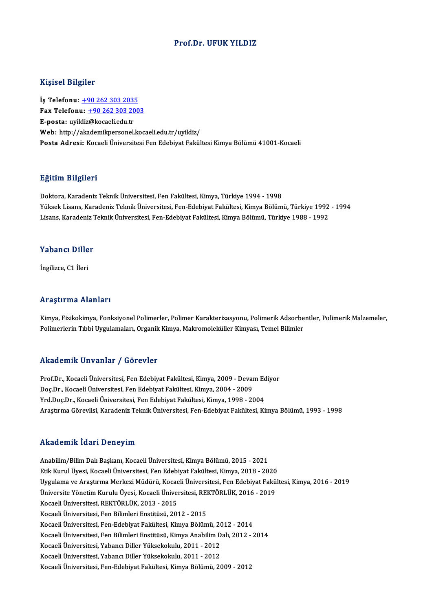#### Prof.Dr. UFUK YILDIZ

#### Kişisel Bilgiler

Kişisel Bilgiler<br>İş Telefonu: <u>+90 262 303 2035</u><br>Fax Telefonu: 190 262 202 200 Fax Telefonu: +90 262 303 2003<br>E-posta: uyildiz@kocaeli.edu.tr İş Telefonu: <u>+90 262 303 203!</u><br>Fax Telefonu: <u>+90 262 303 20</u><br>E-posta: uyil[diz](tel:+90 262 303 2035)[@kocaeli.edu.tr](tel:+90 262 303 2003)<br>Web. http://aliademilmersenal Web: http://akademikpersonel.kocaeli.edu.tr/uvildiz/ Posta Adresi: Kocaeli Üniversitesi Fen Edebiyat Fakültesi Kimya Bölümü 41001-Kocaeli

#### Eğitim Bilgileri

Doktora, Karadeniz Teknik Üniversitesi, Fen Fakültesi, Kimya, Türkiye 1994 - 1998 YüksekLisans,KaradenizTeknikÜniversitesi,Fen-EdebiyatFakültesi,KimyaBölümü,Türkiye 1992 -1994 Lisans, Karadeniz Teknik Üniversitesi, Fen-Edebiyat Fakültesi, Kimya Bölümü, Türkiye 1988 - 1992

#### Yabancı Diller

İngilizce, C1 İleri

#### Araştırma Alanları

Kimya, Fizikokimya, Fonksiyonel Polimerler, Polimer Karakterizasyonu, Polimerik Adsorbentler, Polimerik Malzemeler, Polimerlerin Tıbbi Uygulamaları, Organik Kimya, Makromoleküller Kimyası, Temel Bilimler

#### Akademik Unvanlar / Görevler

Prof.Dr., Kocaeli Üniversitesi, Fen Edebiyat Fakültesi, Kimya, 2009 - Devam Ediyor Doç.Dr., Kocaeli Üniversitesi, Fen Edebiyat Fakültesi, Kimya, 2004 - 2009 Yrd.Doç.Dr., Kocaeli Üniversitesi, Fen Edebiyat Fakültesi, Kimya, 1998 - 2004 AraştırmaGörevlisi,KaradenizTeknikÜniversitesi,Fen-EdebiyatFakültesi,KimyaBölümü,1993 -1998

#### Akademik İdari Deneyim

Anabilim/Bilim Dalı Başkanı, Kocaeli Üniversitesi, Kimya Bölümü, 2015 - 2021 Etikulü Sirik Tulüt Fistiky siri<br>Anabilim/Bilim Dalı Başkanı, Kocaeli Üniversitesi, Kimya Bölümü, 2015 - 2021<br>Etik Kurul Üyesi, Kocaeli Üniversitesi, Fen Edebiyat Fakültesi, Kimya, 2018 - 2020<br>Uygulama ve Arastırma Markari Anabilim/Bilim Dalı Başkanı, Kocaeli Üniversitesi, Kimya Bölümü, 2015 - 2021<br>Etik Kurul Üyesi, Kocaeli Üniversitesi, Fen Edebiyat Fakültesi, Kimya, 2018 - 2020<br>Uygulama ve Araştırma Merkezi Müdürü, Kocaeli Üniversitesi, Fe Etik Kurul Üyesi, Kocaeli Üniversitesi, Fen Edebiyat Fakültesi, Kimya, 2018 - 2020<br>Uygulama ve Araştırma Merkezi Müdürü, Kocaeli Üniversitesi, Fen Edebiyat Fakü<br>Üniversite Yönetim Kurulu Üyesi, Kocaeli Üniversitesi, REKTÖR Uygulama ve Araştırma Merkezi Müdürü, Kocae<br>Üniversite Yönetim Kurulu Üyesi, Kocaeli Üniver<br>Kocaeli Üniversitesi, REKTÖRLÜK, 2013 - 2015<br>Kosaeli Üniversitesi, Een Bilimleri Enstitüsü, 201 Üniversite Yönetim Kurulu Üyesi, Kocaeli Üniversitesi, REKTÖRLÜK, 2016 - 2019<br>Kocaeli Üniversitesi, REKTÖRLÜK, 2013 - 2015<br>Kocaeli Üniversitesi, Fen Bilimleri Enstitüsü, 2012 - 2015 Kocaeli Üniversitesi, Fen-Edebiyat Fakültesi, Kimya Bölümü, 2012 - 2014 Kocaeli Üniversitesi, Fen Bilimleri Enstitüsü, 2012 - 2015<br>Kocaeli Üniversitesi, Fen-Edebiyat Fakültesi, Kimya Bölümü, 2012 - 2014<br>Kocaeli Üniversitesi, Fen Bilimleri Enstitüsü, Kimya Anabilim Dalı, 2012 - 2014<br>Kosaeli Üni Kocaeli Üniversitesi, Fen-Edebiyat Fakültesi, Kimya Bölümü, 20<br>Kocaeli Üniversitesi, Fen Bilimleri Enstitüsü, Kimya Anabilim D<br>Kocaeli Üniversitesi, Yabancı Diller Yüksekokulu, 2011 - 2012<br>Kosaeli Üniversitesi, Yabancı Dil Kocaeli Üniversitesi, Yabancı Diller Yüksekokulu, 2011 - 2012<br>Kocaeli Üniversitesi, Yabancı Diller Yüksekokulu, 2011 - 2012 Kocaeli Üniversitesi, Fen-Edebiyat Fakültesi, Kimya Bölümü, 2009 - 2012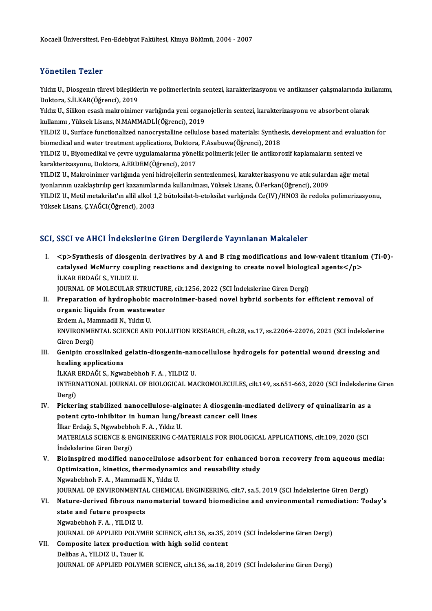#### Yönetilen Tezler

Yönetilen Tezler<br>Yıldız U., Diosgenin türevi bileşiklerin ve polimerlerinin sentezi, karakterizasyonu ve antikanser çalışmalarında kullanımı,<br>Dektera S.İLKAR(Öğrensi), 2019 1 oncenen 1 oncen<br>Yıldız U., Diosgenin türevi bileşikle<br>Doktora, S.İLKAR(Öğrenci), 2019<br>Yıldız U. Silikan esaslı malmeinime Yıldız U., Diosgenin türevi bileşiklerin ve polimerlerinin sentezi, karakterizasyonu ve antikanser çalışmalarında ku<br>Doktora, S.İLKAR(Öğrenci), 2019<br>Yıldız U., Silikon esaslı makroinimer varlığında yeni organojellerin sent

Doktora, S.İLKAR(Öğrenci), 2019<br>Yıldız U., Silikon esaslı makroinimer varlığında yeni organ<br>kullanımı , Yüksek Lisans, N.MAMMADLİ(Öğrenci), 2019<br>YU DIZ U. Surface functionalized nanoswıstalline sellules Yıldız U., Silikon esaslı makroinimer varlığında yeni organojellerin sentezi, karakterizasyonu ve absorbent olarak<br>kullanımı , Yüksek Lisans, N.MAMMADLİ(Öğrenci), 2019<br>YILDIZ U., Surface functionalized nanocrystalline cell

kullanımı , Yüksek Lisans, N.MAMMADLİ(Öğrenci), 2019<br>YILDIZ U., Surface functionalized nanocrystalline cellulose based materials: Synthesis, development and evaluation for<br>biomedical and water treatment applications, Dokto YILDIZ U., Surface functionalized nanocrystalline cellulose based materials: Synthesis, development and evalua<br>biomedical and water treatment applications, Doktora, F.Asabuwa(Öğrenci), 2018<br>YILDIZ U., Biyomedikal ve çevre

biomedical and water treatment applications, Doktora<br>YILDIZ U., Biyomedikal ve çevre uygulamalarına yönel<br>karakterizasyonu, Doktora, A.ERDEM(Öğrenci), 2017<br>YU DIZ U. Malmainimar varlığında yani bidnaialların 2 YILDIZ U., Biyomedikal ve çevre uygulamalarına yönelik polimerik jeller ile antikorozif kaplamaların sentezi ve<br>karakterizasyonu, Doktora, A.ERDEM(Öğrenci), 2017<br>YILDIZ U., Makroinimer varlığında yeni hidrojellerin sentezl

karakterizasyonu, Doktora, A.ERDEM(Öğrenci), 2017<br>YILDIZ U., Makroinimer varlığında yeni hidrojellerin sentezlenmesi, karakterizasyonu ve atık sulardan ağır metal<br>iyonlarının uzaklaştırılıp geri kazanımlarında kullanılması

YILDIZ U., Metil metakrilat'ın allil alkol 1,2 bütoksilat-b-etoksilat varlığında Ce(IV)/HNO3 ile redoks polimerizasyonu, Yüksek Lisans, Ç.YAĞCI(Öğrenci), 2003

#### SCI, SSCI ve AHCI İndekslerine Giren Dergilerde Yayınlanan Makaleler

I. <p>Synthesis of diosgenin derivatives by A and B ringmodifications and low-valent titanium(Ti-0) cour voltion inaction means on on beigher as ray intended realistics.<br>
<p>Synthesis of diosgenin derivatives by A and B ring modifications and low-valent titaniur<br>catalysed McMurry coupling reactions and designing to creat *<p>Synthesis of diosger<br>catalysed McMurry coup<br>İLKAR ERDAĞI S., YILDIZ U.<br>JOUPMAL OF MOLECULAR S* catalysed McMurry coupling reactions and designing to create novel biologie<br>ILKAR ERDAĞI S., YILDIZ U.<br>JOURNAL OF MOLECULAR STRUCTURE, cilt.1256, 2022 (SCI İndekslerine Giren Dergi)<br>Preparation of bydranbabis masyainimar b

JOURNAL OF MOLECULAR STRUCTURE, cilt.1256, 2022 (SCI İndekslerine Giren Dergi)

ILKAR ERDAĞI S., YILDIZ U.<br>JOURNAL OF MOLECULAR STRUCTURE, cilt.1256, 2022 (SCI İndekslerine Giren Dergi)<br>II. Preparation of hydrophobic macroinimer-based novel hybrid sorbents for efficient removal of<br>organic liquids from Preparation of hydrophobic<br>organic liquids from wastew<br>Erdem A., Mammadli N., Yıldız U.<br>ENWIDONMENTAL SCIENCE AND ENVIRONMENTAL SCIENCE AND POLLUTION RESEARCH, cilt.28, sa.17, ss.22064-22076, 2021 (SCI İndekslerine<br>Giren Dergi) Erdem A., Ma<br>ENVIRONME<br>Giren Dergi)<br>Coninin ano ENVIRONMENTAL SCIENCE AND POLLUTION RESEARCH, cilt.28, sa.17, ss.22064-22076, 2021 (SCI İndekslerine<br>Giren Dergi)<br>III. Genipin crosslinked gelatin-diosgenin-nanocellulose hydrogels for potential wound dressing and<br>hooling

Giren Dergi)<br>Genipin crosslinked<br>healing applications<br>it gap EPDAČLS, News Genipin crosslinked gelatin-diosgenin-nan<br>healing applications<br>İLKAR ERDAĞI S., Ngwabebhoh F.A. , YILDIZ U.<br>INTERNATIONAL JOURNAL OF PIOLOCICAL MA

healing applications<br>İLKAR ERDAĞI S., Ngwabebhoh F. A. , YILDIZ U.<br>INTERNATIONAL JOURNAL OF BIOLOGICAL MACROMOLECULES, cilt.149, ss.651-663, 2020 (SCI İndekslerine Giren İLKAR<br>INTERI<br>Dergi)<br><sup>Dickor</sup> INTERNATIONAL JOURNAL OF BIOLOGICAL MACROMOLECULES, cilt.149, ss.651-663, 2020 (SCI İndekslerin<br>Dergi)<br>IV. Pickering stabilized nanocellulose-alginate: A diosgenin-mediated delivery of quinalizarin as a<br>natant cute inhibit

- Dergi)<br>Pickering stabilized nanocellulose-alginate: A diosgenin-med<br>potent cyto-inhibitor in human lung/breast cancer cell lines<br><sup>iller Frdağı S. Nguabobbob E.A. Yıldır U</sup> Pickering stabilized nanocellulose-alg<br>potent cyto-inhibitor in human lung/t<br>İlkar Erdağı S., Ngwabebhoh F.A., Yıldız U.<br>MATERIALS SCIENCE & ENCINEERING G.M MATERIALS SCIENCE & ENGINEERING C-MATERIALS FOR BIOLOGICAL APPLICATIONS, cilt.109, 2020 (SCI<br>İndekslerine Giren Dergi) İlkar Erdağı S., Ngwabebhoh F. A., Yıldız U. MATERIALS SCIENCE & ENGINEERING C-MATERIALS FOR BIOLOGICAL APPLICATIONS, cilt.109, 2020 (SCI<br>Indekslerine Giren Dergi)<br>V. Bioinspired modified nanocellulose adsorbent for enhanced boron recovery from aqueous media:<br>Ontimiz
- Indekslerine Giren Dergi)<br>Bioinspired modified nanocellulose adsorbent for enhanced l<br>Optimization, kinetics, thermodynamics and reusability study<br>Ngwebebbeb E.A., Mammadli N., Yıldız H Optimization, kinetics, thermodynamics and reusability study<br>Ngwabebhoh F.A., Mammadli N., Yıldız U.

JOURNALOF ENVIRONMENTAL CHEMICAL ENGINEERING, cilt.7, sa.5,2019 (SCI İndekslerineGirenDergi)

VI. Nature-derived fibrous nanomaterial toward biomedicine and environmental remediation: Today's **JOURNAL OF ENVIRONMENTA<br>Nature-derived fibrous nar<br>state and future prospects<br>Ngunbobbob E.A., VII DIZ II** Nature-derived fibrous na<br>state and future prospects<br>Ngwabebhoh F.A., YILDIZ U.<br>JOUPNAL OF APPLIED POLYN

Ngwabebhoh F. A. , YILDIZ U.<br>JOURNAL OF APPLIED POLYMER SCIENCE, cilt.136, sa.35, 2019 (SCI İndekslerine Giren Dergi)

Ngwabebhoh F. A. , YILDIZ U.<br>JOURNAL OF APPLIED POLYMER SCIENCE, cilt.136, sa.35, 2<br>VII. Composite latex production with high solid content<br>Delibes A. YILDIZ II. Tayer K. **JOURNAL OF APPLIED POLYM<br>Composite latex productio<br>Delibas A., YILDIZ U., Tauer K.<br>JOUPNAL OF APPLIED POLYM** Delibas A., YILDIZ U., Tauer K.<br>JOURNAL OF APPLIED POLYMER SCIENCE, cilt.136, sa.18, 2019 (SCI İndekslerine Giren Dergi)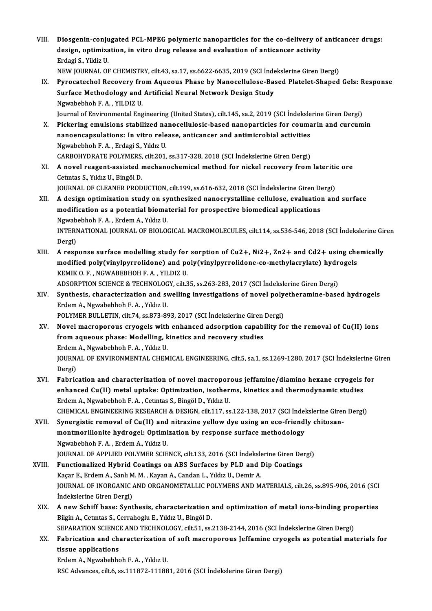VIII. Diosgenin-conjugated PCL-MPEG polymeric nanoparticles for the co-delivery of anticancer drugs:<br>degian entimization in vitre drug relegse and evaluation of anticancer activity Diosgenin-conjugated PCL-MPEG polymeric nanoparticles for the co-delivery of<br>design, optimization, in vitro drug release and evaluation of anticancer activity<br>Frdesi S. Vildiz II Diosgenin-conju<br>design, optimiza<br>Erdagi S., Yildiz U.<br>NEW JOUPNAL OF design, optimization, in vitro drug release and evaluation of anticancer activity<br>Erdagi S., Yildiz U.<br>NEW JOURNAL OF CHEMISTRY, cilt.43, sa.17, ss.6622-6635, 2019 (SCI İndekslerine Giren Dergi)<br>Bunasatashal Basayany fram

Erdagi S., Yildiz U.<br>IX. Pyrocatechol Recovery from Aqueous Phase by Nanocellulose-Based Platelet-Shaped Gels: Response<br>Surface Methodology and Artificial Noural Natyork Design Study NEW JOURNAL OF CHEMISTRY, cilt.43, sa.17, ss.6622-6635, 2019 (SCI İnden)<br>Pyrocatechol Recovery from Aqueous Phase by Nanocellulose-Ba:<br>Surface Methodology and Artificial Neural Network Design Study<br>Newphabbab E.A., YU DIZ Pyrocatechol Recovery fro<br>Surface Methodology and<br>Ngwabebhoh F.A., YILDIZ U.<br>Journal of Environmental Eng Surface Methodology and Artificial Neural Network Design Study<br>Ngwabebhoh F. A. , YILDIZ U.<br>Journal of Environmental Engineering (United States), cilt.145, sa.2, 2019 (SCI İndekslerine Giren Dergi)<br>Pickering emulsions stab

Ngwabebhoh F. A. , YILDIZ U.<br>Journal of Environmental Engineering (United States), cilt.145, sa.2, 2019 (SCI İndekslerine Giren Dergi)<br>X. Pickering emulsions stabilized nanocellulosic-based nanoparticles for coumarin and c Journal of Environmental Engineering (United States), cilt.145, sa.2, 2019 (SCI İndeksle<br>Pickering emulsions stabilized nanocellulosic-based nanoparticles for couma<br>nanoencapsulations: In vitro release, anticancer and anti

Pickering emulsions stabilized na<br>nanoencapsulations: In vitro rele<br>Ngwabebhoh F.A., Erdagi S., Yıldız U.<br>CARROUVDRATE ROLYMERS cilt 201 nanoencapsulations: In vitro release, anticancer and antimicrobial activities<br>Ngwabebhoh F. A. , Erdagi S., Yıldız U.<br>CARBOHYDRATE POLYMERS, cilt.201, ss.317-328, 2018 (SCI İndekslerine Giren Dergi)

XI. A novel reagent-assistedmechanochemicalmethod for nickel recovery fromlateritic ore Cetintas S., Yıldız U., Bingöl D. A novel reagent-assisted mechanochemical method for nickel recovery from lateritie<br>Cetintas S., Yildiz U., Bingöl D.<br>JOURNAL OF CLEANER PRODUCTION, cilt.199, ss.616-632, 2018 (SCI İndekslerine Giren Dergi)<br>A design antimiz

- XII. A design optimization study on synthesized nanocrystalline cellulose, evaluation and surface JOURNAL OF CLEANER PRODUCTION, cilt.199, ss.616-632, 2018 (SCI indekslerine Giren De<br>A design optimization study on synthesized nanocrystalline cellulose, evaluation<br>modification as a potential biomaterial for prospective modification as a potential biomaterial for prospective biomedical applications<br>Ngwabebhoh F.A., Erdem A., Yıldız U. modification as a potential biomaterial for prospective biomedical applications<br>Ngwabebhoh F. A. , Erdem A., Yıldız U.<br>INTERNATIONAL JOURNAL OF BIOLOGICAL MACROMOLECULES, cilt.114, ss.536-546, 2018 (SCI İndekslerine Giren<br> Ngwab<br>INTERI<br>Dergi)<br>A rear INTERNATIONAL JOURNAL OF BIOLOGICAL MACROMOLECULES, cilt.114, ss.536-546, 2018 (SCI Indekslerine Gir<br>Dergi)<br>XIII. A response surface modelling study for sorption of Cu2+, Ni2+, Zn2+ and Cd2+ using chemically<br>modified nely(
- Dergi)<br>XIII. A response surface modelling study for sorption of Cu2+, Ni2+, Zn2+ and Cd2+ using chemically<br>modified poly(vinylpyrrolidone) and poly(vinylpyrrolidone-co-methylacrylate) hydrogels KEMIKO.F. ,NGWABEBHOHF.A. ,YILDIZU. modified poly(vinylpyrrolidone) and poly(vinylpyrrolidone-co-methylacrylate) hydr<br>KEMIK O. F. , NGWABEBHOH F. A. , YILDIZ U.<br>ADSORPTION SCIENCE & TECHNOLOGY, cilt.35, ss.263-283, 2017 (SCI İndekslerine Giren Dergi)<br>Synthes KEMIK O. F. , NGWABEBHOH F. A. , YILDIZ U.<br>ADSORPTION SCIENCE & TECHNOLOGY, cilt.35, ss.263-283, 2017 (SCI İndekslerine Giren Dergi)<br>XIV. Synthesis, characterization and swelling investigations of novel polyetheramine-base

- ADSORPTION SCIENCE & TECHNOLOG<br>Synthesis, characterization and sv<br>Erdem A., Ngwabebhoh F.A., Yıldız U.<br>POLYMER BULLETIN, cilt 74, cc 972, 90 Synthesis, characterization and swelling investigations of novel poly<br>Erdem A., Ngwabebhoh F. A. , Yıldız U.<br>POLYMER BULLETIN, cilt.74, ss.873-893, 2017 (SCI İndekslerine Giren Dergi)<br>Navel magnenonaus exuagels with enhanc Erdem A., Ngwabebhoh F. A. , Yıldız U.<br>POLYMER BULLETIN, cilt.74, ss.873-893, 2017 (SCI İndekslerine Giren Dergi)<br>XV. Novel macroporous cryogels with enhanced adsorption capability for the removal of Cu(II) ions
- POLYMER BULLETIN, cilt.74, ss.873-893, 2017 (SCI İndekslerine Giren<br>Novel macroporous cryogels with enhanced adsorption capabi<br>from aqueous phase: Modelling, kinetics and recovery studies<br>Frdem A. Novebabbab E.A. Viduall Novel macroporous cryogels with<br>from aqueous phase: Modelling, k<br>Erdem A., Ngwabebhoh F.A., Yıldız U.<br>JOUPNAL OF ENVIRONMENTAL CHEM JOURNAL OF ENVIRONMENTAL CHEMICAL ENGINEERING, cilt.5, sa.1, ss.1269-1280, 2017 (SCI İndekslerine Giren<br>Dergi) Erdem A., Ngwabebhoh F. A., Yıldız U. JOURNAL OF ENVIRONMENTAL CHEMICAL ENGINEERING, cilt.5, sa.1, ss.1269-1280, 2017 (SCI Indekslerine (<br>Dergi)<br>XVI. Fabrication and characterization of novel macroporous jeffamine/diamino hexane cryogels for<br>anhanged Cu(II) ma
- Dergi)<br>Fabrication and characterization of novel macroporous jeffamine/diamino hexane cryogels<br>enhanced Cu(II) metal uptake: Optimization, isotherms, kinetics and thermodynamic studies<br>Endem A. Navabebbeb E.A. Cetutes S. B Fabrication and characterization of novel macropor<br>enhanced Cu(II) metal uptake: Optimization, isother<br>Erdem A., Ngwabebhoh F.A., Cetıntas S., Bingöl D., Yıldız U.<br>CHEMICAL ENCINEERING RESEARCH & DESICN silt 117, se enhanced Cu(II) metal uptake: Optimization, isotherms, kinetics and thermodynamic studies<br>Erdem A., Ngwabebhoh F. A. , Cetintas S., Bingöl D., Yıldız U.<br>CHEMICAL ENGINEERING RESEARCH & DESIGN, cilt.117, ss.122-138, 2017 (S
- XVII. Synergistic removal of Cu(II) and nitrazine yellow dye using an eco-friendly chitosan-CHEMICAL ENGINEERING RESEARCH & DESIGN, cilt.117, ss.122-138, 2017 (SCI Indel<br>Synergistic removal of Cu(II) and nitrazine yellow dye using an eco-friend!<br>montmorillonite hydrogel: Optimization by response surface methodolo Synergistic removal of Cu(II) and<br>montmorillonite hydrogel: Optimi<br>Ngwabebhoh F.A., Erdem A., Yıldız U.<br>JOUPNAL OF APPLIED POLYMER SCIE montmorillonite hydrogel: Optimization by response surface methodology<br>Ngwabebhoh F. A. , Erdem A., Yıldız U.<br>JOURNAL OF APPLIED POLYMER SCIENCE, cilt.133, 2016 (SCI İndekslerine Giren Dergi)<br>Eunstianalized Hubrid Costings

- Ngwabebhoh F. A., Erdem A., Yıldız U.<br>JOURNAL OF APPLIED POLYMER SCIENCE, cilt.133, 2016 (SCI İndekslerine Giren De:<br>XVIII. Functionalized Hybrid Coatings on ABS Surfaces by PLD and Dip Coatings JOURNAL OF APPLIED POLYMER SCIENCE, cilt.133, 2016 (SCI İndeksle<br>Functionalized Hybrid Coatings on ABS Surfaces by PLD and l<br>Kaçar E., Erdem A., Sanlı M. M. , Kayan A., Candan L., Yıldız U., Demir A.<br>JOUPMAL OE INOPCANIC A JOURNAL OF INORGANIC AND ORGANOMETALLIC POLYMERS AND MATERIALS, cilt.26, ss.895-906, 2016 (SCI<br>İndekslerine Giren Dergi) Kaçar E., Erdem A., Sanlı M. M., Kayan A., Candan L., Yıldız U., Demir A. JOURNAL OF INORGANIC AND ORGANOMETALLIC POLYMERS AND MATERIALS, cilt.26, ss.895-906, 2016 (SCI<br>Indekslerine Giren Dergi)<br>XIX. A new Schiff base: Synthesis, characterization and optimization of metal ions-binding properties
- İndekslerine Giren Dergi)<br>A new Schiff base: Synthesis, characterization ;<br>Bilgin A., Cetıntas S., Cerrahoglu E., Yıldız U., Bingöl D.<br>SERARATION SCIENCE AND TECHNOLOCY, silt 51, ss.; A new Schiff base: Synthesis, characterization and optimization of metal ions-binding pro<br>Bilgin A., Cetntas S., Cerrahoglu E., Yıldız U., Bingöl D.<br>SEPARATION SCIENCE AND TECHNOLOGY, cilt.51, ss.2138-2144, 2016 (SCI İndek Bilgin A., Cetintas S., Cerrahoglu E., Yildiz U., Bingöl D.<br>SEPARATION SCIENCE AND TECHNOLOGY, cilt.51, ss.2138-2144, 2016 (SCI İndekslerine Giren Dergi)<br>XX. Fabrication and characterization of soft macroporous Jeffamine c

SEPARATION SCIENC<br>Fabrication and charastissue applications<br>Frdem A. Nauphebbe Fabrication and characterization<br>tissue applications<br>Erdem A., Ngwabebhoh F. A. , Yıldız U.<br>PSC Advances sit 6 se 111972 11199

tissue applications<br>Erdem A., Ngwabebhoh F. A. , Yıldız U.<br>RSC Advances, cilt.6, ss.111872-111881, 2016 (SCI İndekslerine Giren Dergi)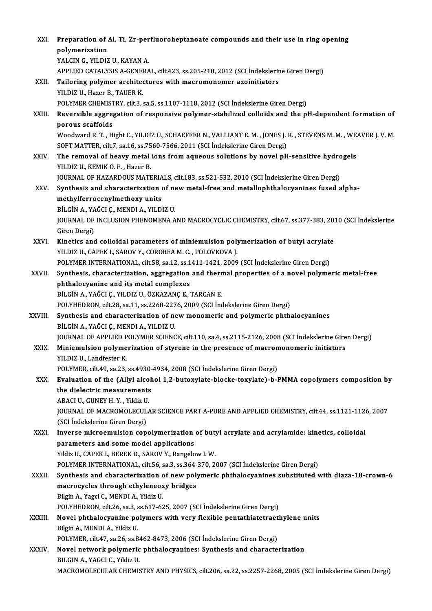| XXI.    | Preparation of Al, Ti, Zr-perfluoroheptanoate compounds and their use in ring opening                                                                                                           |
|---------|-------------------------------------------------------------------------------------------------------------------------------------------------------------------------------------------------|
|         | polymerization                                                                                                                                                                                  |
|         | YALCIN G., YILDIZ U., KAYAN A.                                                                                                                                                                  |
|         | APPLIED CATALYSIS A-GENERAL, cilt.423, ss.205-210, 2012 (SCI Indekslerine Giren Dergi)                                                                                                          |
| XXII.   | Tailoring polymer architectures with macromonomer azoinitiators                                                                                                                                 |
|         | YILDIZ U., Hazer B., TAUER K.                                                                                                                                                                   |
|         | POLYMER CHEMISTRY, cilt.3, sa.5, ss.1107-1118, 2012 (SCI İndekslerine Giren Dergi)                                                                                                              |
| XXIII.  | Reversible aggregation of responsive polymer-stabilized colloids and the pH-dependent formation of<br>porous scaffolds                                                                          |
|         | Woodward R. T., Hight C., YILDIZ U., SCHAEFFER N., VALLIANT E. M., JONES J. R., STEVENS M. M., WEAVER J. V. M.<br>SOFT MATTER, cilt.7, sa.16, ss.7560-7566, 2011 (SCI İndekslerine Giren Dergi) |
| XXIV.   | The removal of heavy metal ions from aqueous solutions by novel pH-sensitive hydrogels                                                                                                          |
|         | YILDIZ U, KEMIK O F., Hazer B.                                                                                                                                                                  |
|         | JOURNAL OF HAZARDOUS MATERIALS, cilt.183, ss.521-532, 2010 (SCI İndekslerine Giren Dergi)                                                                                                       |
| XXV.    | Synthesis and characterization of new metal-free and metallophthalocyanines fused alpha-                                                                                                        |
|         | methylferrocenylmethoxy units                                                                                                                                                                   |
|         | BİLGİN A., YAĞCI Ç., MENDI A., YILDIZ U.                                                                                                                                                        |
|         | JOURNAL OF INCLUSION PHENOMENA AND MACROCYCLIC CHEMISTRY, cilt.67, ss.377-383, 2010 (SCI Indekslerine                                                                                           |
|         | Giren Dergi)                                                                                                                                                                                    |
| XXVI.   | Kinetics and colloidal parameters of miniemulsion polymerization of butyl acrylate                                                                                                              |
|         | YILDIZ U., CAPEK I., SAROV Y., COROBEA M. C., POLOVKOVA J.                                                                                                                                      |
|         | POLYMER INTERNATIONAL, cilt.58, sa.12, ss.1411-1421, 2009 (SCI Indekslerine Giren Dergi)                                                                                                        |
| XXVII.  | Synthesis, characterization, aggregation and thermal properties of a novel polymeric metal-free                                                                                                 |
|         | phthalocyanine and its metal complexes                                                                                                                                                          |
|         | BİLGİN A., YAĞCI Ç., YILDIZ U., ÖZKAZANÇ E., TARCAN E.                                                                                                                                          |
|         | POLYHEDRON, cilt.28, sa.11, ss.2268-2276, 2009 (SCI İndekslerine Giren Dergi)                                                                                                                   |
| XXVIII. | Synthesis and characterization of new monomeric and polymeric phthalocyanines                                                                                                                   |
|         | BİLGİN A., YAĞCI Ç., MENDI A., YILDIZ U.                                                                                                                                                        |
|         | JOURNAL OF APPLIED POLYMER SCIENCE, cilt.110, sa.4, ss.2115-2126, 2008 (SCI İndekslerine Giren Dergi)                                                                                           |
| XXIX.   | Miniemulsion polymerization of styrene in the presence of macromonomeric initiators                                                                                                             |
|         | YILDIZ U., Landfester K.                                                                                                                                                                        |
|         | POLYMER, cilt.49, sa.23, ss.4930-4934, 2008 (SCI Indekslerine Giren Dergi)<br>Evaluation of the (Allyl alcohol 1,2-butoxylate-blocke-toxylate)-b-PMMA copolymers composition by                 |
| XXX.    | the dielectric measurements                                                                                                                                                                     |
|         | ABACI U., GUNEY H. Y., Yildiz U.                                                                                                                                                                |
|         | JOURNAL OF MACROMOLECULAR SCIENCE PART A-PURE AND APPLIED CHEMISTRY, cilt.44, ss.1121-1126, 2007                                                                                                |
|         | (SCI İndekslerine Giren Dergi)                                                                                                                                                                  |
| XXXI.   | Inverse microemulsion copolymerization of butyl acrylate and acrylamide: kinetics, colloidal                                                                                                    |
|         | parameters and some model applications                                                                                                                                                          |
|         | Yildiz U., CAPEK I., BEREK D., SAROV Y., Rangelow I. W.                                                                                                                                         |
|         | POLYMER INTERNATIONAL, cilt.56, sa.3, ss.364-370, 2007 (SCI Indekslerine Giren Dergi)                                                                                                           |
| XXXII.  | Synthesis and characterization of new polymeric phthalocyanines substituted with diaza-18-crown-6                                                                                               |
|         | macrocycles through ethyleneoxy bridges                                                                                                                                                         |
|         | Bilgin A., Yagci C., MENDI A., Yildiz U.                                                                                                                                                        |
|         | POLYHEDRON, cilt.26, sa.3, ss.617-625, 2007 (SCI İndekslerine Giren Dergi)                                                                                                                      |
| XXXIII. | Novel phthalocyanine polymers with very flexible pentathiatetraethylene units                                                                                                                   |
|         | Bilgin A., MENDI A., Yildiz U.                                                                                                                                                                  |
|         | POLYMER, cilt.47, sa.26, ss.8462-8473, 2006 (SCI Indekslerine Giren Dergi)                                                                                                                      |
| XXXIV.  | Novel network polymeric phthalocyanines: Synthesis and characterization                                                                                                                         |
|         | BILGIN A., YAGCI C., Yildiz U.                                                                                                                                                                  |
|         | MACROMOLECULAR CHEMISTRY AND PHYSICS, cilt.206, sa.22, ss.2257-2268, 2005 (SCI İndekslerine Giren Dergi)                                                                                        |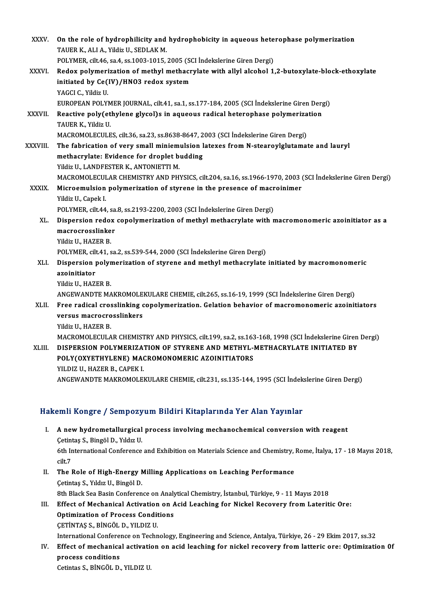| XXXV.         | On the role of hydrophilicity and hydrophobicity in aqueous heterophase polymerization                             |
|---------------|--------------------------------------------------------------------------------------------------------------------|
|               | TAUER K., ALI A., Yildiz U., SEDLAK M.                                                                             |
|               | POLYMER, cilt.46, sa.4, ss.1003-1015, 2005 (SCI Indekslerine Giren Dergi)                                          |
| XXXVI.        | Redox polymerization of methyl methacrylate with allyl alcohol 1,2-butoxylate-block-ethoxylate                     |
|               | initiated by Ce(IV)/HN03 redox system                                                                              |
|               | YAGCI C., Yildiz U.                                                                                                |
|               | EUROPEAN POLYMER JOURNAL, cilt.41, sa.1, ss.177-184, 2005 (SCI İndekslerine Giren Dergi)                           |
| <b>XXXVII</b> | Reactive poly(ethylene glycol)s in aqueous radical heterophase polymerization                                      |
|               | TAUER K., Yildiz U.                                                                                                |
|               | MACROMOLECULES, cilt.36, sa.23, ss.8638-8647, 2003 (SCI İndekslerine Giren Dergi)                                  |
| XXXVIII.      | The fabrication of very small miniemulsion latexes from N-stearoylglutamate and lauryl                             |
|               | methacrylate: Evidence for droplet budding                                                                         |
|               | Yildiz U., LANDFESTER K., ANTONIETTI M.                                                                            |
|               | MACROMOLECULAR CHEMISTRY AND PHYSICS, cilt.204, sa.16, ss.1966-1970, 2003 (SCI İndekslerine Giren Dergi)           |
| <b>XXXIX</b>  | Microemulsion polymerization of styrene in the presence of macroinimer                                             |
|               | Yildiz U., Capek I.                                                                                                |
|               | POLYMER, cilt.44, sa.8, ss.2193-2200, 2003 (SCI İndekslerine Giren Dergi)                                          |
| XL.           | Dispersion redox copolymerization of methyl methacrylate with macromonomeric azoinitiator as a<br>macrocrosslinker |
|               | Yildiz U, HAZER B                                                                                                  |
|               | POLYMER, cilt.41, sa.2, ss.539-544, 2000 (SCI Indekslerine Giren Dergi)                                            |
| XLI.          | Dispersion polymerization of styrene and methyl methacrylate initiated by macromonomeric                           |
|               | azoinitiator                                                                                                       |
|               | Yildiz U., HAZER B.                                                                                                |
|               | ANGEWANDTE MAKROMOLEKULARE CHEMIE, cilt.265, ss.16-19, 1999 (SCI İndekslerine Giren Dergi)                         |
| XLII.         | Free radical crosslinking copolymerization. Gelation behavior of macromonomeric azoinitiators                      |
|               | versus macrocrosslinkers                                                                                           |
|               | Yildiz U., HAZER B.                                                                                                |
|               | MACROMOLECULAR CHEMISTRY AND PHYSICS, cilt.199, sa.2, ss.163-168, 1998 (SCI İndekslerine Giren Dergi)              |
| XLIII.        | DISPERSION POLYMERIZATION OF STYRENE AND METHYL-METHACRYLATE INITIATED BY                                          |
|               | POLY(OXYETHYLENE) MACROMONOMERIC AZOINITIATORS                                                                     |
|               | YILDIZ U., HAZER B., CAPEK I.                                                                                      |
|               | ANGEWANDTE MAKROMOLEKULARE CHEMIE, cilt.231, ss.135-144, 1995 (SCI İndekslerine Giren Dergi)                       |
|               |                                                                                                                    |

### Hakemli Kongre / Sempozyum Bildiri Kitaplarında Yer Alan Yayınlar

- akemli Kongre / Sempozyum Bildiri Kitaplarında Yer Alan Yayınlar<br>I. A new hydrometallurgical process involving mechanochemical conversion with reagent<br>Cetintes S. Bingöl D. Vulvau SINITARISTO 7 SOMPODJ<br>A new hydrometallurgical<br>Cetintaş S., Bingöl D., Yıldız U. A new hydrometallurgical process involving mechanochemical conversion with reagent<br>Cetintaş S., Bingöl D., Yıldız U.<br>6th International Conference and Exhibition on Materials Science and Chemistry, Rome, İtalya, 17 - 18 May Cetint<br>6th Ir<br>cilt.7<br>The 1 6th International Conference and Exhibition on Materials Science and Chemistry,<br>cilt.7<br>II. The Role of High-Energy Milling Applications on Leaching Performance<br>Cetintes S. Vildual I. Bingöl D.
- cilt.7<br>The Role of High-Energy M<br>Çetintaş S., Yıldız U., Bingöl D.<br><sup>Oth Plack Soo Bosin Conferen</sup> The Role of High-Energy Milling Applications on Leaching Performance<br>Cetintas S., Yıldız U., Bingöl D.<br>8th Black Sea Basin Conference on Analytical Chemistry, İstanbul, Türkiye, 9 - 11 Mayıs 2018<br>Effect of Mechanical Activ
- Cetintaş S., Yıldız U., Bingöl D.<br>8th Black Sea Basin Conference on Analytical Chemistry, İstanbul, Türkiye, 9 11 Mayıs 2018<br>III. Effect of Mechanical Activation on Acid Leaching for Nickel Recovery from Lateritic Ore:<br>O 8th Black Sea Basin Conference on Analy<br>Effect of Mechanical Activation on Applimization of Process Conditions<br>CETINTAS S. PINGÖL D. VU DIZ U Effect of Mechanical Activation<br>Optimization of Process Condit<br>CETİNTAŞ S., BİNGÖL D., YILDIZ U.<br>International Cenference en Techn Optimization of Process Conditions<br>ÇETİNTAŞ S., BİNGÖL D., YILDIZ U.<br>International Conference on Technology, Engineering and Science, Antalya, Türkiye, 26 - 29 Ekim 2017, ss.32<br>Effect of mechanical activation on asid looph

CETINTAŞ S., BINGÖL D., YILDIZ U.<br>International Conference on Technology, Engineering and Science, Antalya, Türkiye, 26 - 29 Ekim 2017, ss.32<br>IV. Effect of mechanical activation on acid leaching for nickel recovery from la International Confere:<br>Effect of mechanica<br>process conditions<br>Cetintes S. PiNCÖL D Effect of mechanical activatie<br>process conditions<br>Cetintas S., BİNGÖL D., YILDIZ U.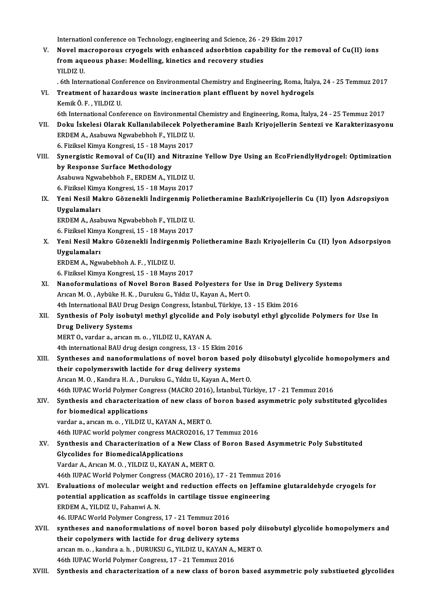Internationl conference on Technology, engineering and Science, 26 - 29 Ekim 2017<br>Novel megneneraus sruegels with ophaneed adsorbtion sanability for the i

Internationl conference on Technology, engineering and Science, 26 - 29 Ekim 2017<br>V. Novel macroporous cryogels with enhanced adsorbtion capability for the removal of Cu(II) ions<br>from agueeus phase: Modelling, kineties and Internationl conference on Technology, engineering and Science, 26 - 2<br>Novel macroporous cryogels with enhanced adsorbtion capabi<br>from aqueous phase: Modelling, kinetics and recovery studies<br>yu D17 U Novel ma<br>from aqu<br>YILDIZ U.<br>Eth Inter from aqueous phase: Modelling, kinetics and recovery studies<br>YILDIZ U.<br>. 6th International Conference on Environmental Chemistry and Engineering, Roma, İtalya, 24 - 25 Temmuz 2017<br>Treatment of harardous waste insineration

- YILDIZ U.<br>6th International Conference on Environmental Chemistry and Engineering, Roma, İtaly VI.<br>7. Treatment of hazardous waste incineration plant effluent by novel hydrogels<br>6. Kemik Ö. F. , YILDIZ U. . 6th International Con<br>Treatment of hazard<br>Kemik Ö. F. , YILDIZ U.<br>Eth International Conf
- 6th International Conference on Environmental Chemistry and Engineering, Roma, İtalya, 24 25 Temmuz 2017 Kemik Ö. F. , YILDIZ U.<br>6th International Conference on Environmental Chemistry and Engineering, Roma, İtalya, 24 - 25 Temmuz 2017<br>FRIDEM A. Asabuwa Ngumbabbab E. YU DIZ U.
- 6th International Conference on Environmenta<br>Doku İskelesi Olarak Kullanılabilecek Poly<br>ERDEM A., Asabuwa Ngwabebhoh F., YILDIZ U.<br>6. Firilizel Kimya Kongresi 15 18 Mayıs 2017 19. Doku İskelesi Olarak Kullanılabilecek Poly<br>ERDEM A., Asabuwa Ngwabebhoh F., YILDIZ U.<br>6. Fiziksel Kimya Kongresi, 15 - 18 Mayıs 2017<br>Synorgistis Bomoval of Gu(II) and Nitrogi ERDEM A., Asabuwa Ngwabebhoh F., YILDIZ U.<br>6. Fiziksel Kimya Kongresi, 15 - 18 Mayıs 2017<br>VIII. Synergistic Removal of Cu(II) and Nitrazine Yellow Dye Using an EcoFriendlyHydrogel: Optimization<br>by Response Surface Meth 6. Fiziksel Kimya Kongresi, 15 - 18 Mayıs 2017
- Synergistic Removal of Cu(II) and Nitrazi:<br>by Response Surface Methodology<br>Asabuwa Ngwabebhoh F., ERDEM A., YILDIZ U.<br>6. Firikeel Kimus Kongresi 15 18 Meure 2017 by Response Surface Methodology<br>Asabuwa Ngwabebhoh F., ERDEM A., YILDIZ U.<br>6. Fiziksel Kimya Kongresi, 15 - 18 Mayıs 2017<br>Yoni Nesil Makre Görenekli İndingenmiş B

Asabuwa Ngwabebhoh F., ERDEM A., YILDIZ U.<br>6. Fiziksel Kimya Kongresi, 15 - 18 Mayıs 2017<br>IX. Yeni Nesil Makro Gözenekli İndirgenmiş Polietheramine BazlıKriyojellerin Cu (II) İyon Adsropsiyon<br>Uyaylamaları 6. Fiziksel Kimya Kongresi, 15 - 18 Mayıs 2017<br>Yeni Nesil Makro Gözenekli İndirgenmiş P<br>Uygulamaları<br>ERDEM A., Asabuwa Ngwabebhoh F., YILDIZ U. Yeni Nesil Makro Gözenekli İndirgenmiş P<br>Uygulamaları<br>ERDEM A., Asabuwa Ngwabebhoh F., YILDIZ U.<br>6. Firilizel Kimus Kongresi 15 - 18 Meyre 2017

6. Fiziksel Kimya Kongresi, 15 - 18 Mayıs 2017

ERDEM A., Asabuwa Ngwabebhoh F., YILDIZ U.<br>6. Fiziksel Kimya Kongresi, 15 - 18 Mayıs 2017<br>X. Yeni Nesil Makro Gözenekli İndirgenmiş Polietheramine Bazlı Kriyojellerin Cu (II) İyon Adsorpsiyon<br>Uygulamaları 6. Fiziksel Kimy<br>Yeni Nesil Ma<br>Uygulamaları<br>EPDEM A. Nov Yeni Nesil Makro Gözenekli İndirger<br>Uygulamaları<br>ERDEM A., Ngwabebhoh A.F., YILDIZ U.<br>6. Firikeel Kimya Kongresi 15, 19 Mayıs Uygulamaları<br>6.Fiziksel Kimyakobhoh A. F. , YILDIZ U.<br>6. Fiziksel Kimya Kongresi, 15 - 18 Mayıs 2017

ERDEM A., Ngwabebhoh A. F. , YILDIZ U.<br>6. Fiziksel Kimya Kongresi, 15 - 18 Mayıs 2017<br>XI. Nanoformulations of Novel Boron Based Polyesters for Use in Drug Delivery Systems<br>Arican M.O. Arbijka H. K., Durukay G. Yıldız II. K 6. Fiziksel Kimya Kongresi, 15 - 18 Mayıs 2017<br>Nanoformulations of Novel Boron Based Polyesters for Us<br>Arıcan M. O. , Aybüke H. K. , Duruksu G., Yıldız U., Kayan A., Mert O.<br>4th International PAU Drug Design Congress, İsta Nanoformulations of Novel Boron Based Polyesters for Use in Drug Deliv<br>Arıcan M. O., Aybüke H. K., Duruksu G., Yıldız U., Kayan A., Mert O.<br>4th International BAU Drug Design Congress, İstanbul, Türkiye, 13 - 15 Ekim 2016<br>S

Arıcan M. O. , Aybüke H. K. , Duruksu G., Yıldız U., Kayan A., Mert O.<br>4th International BAU Drug Design Congress, İstanbul, Türkiye, 13 - 15 Ekim 2016<br>XII. Synthesis of Poly isobutyl methyl glycolide and Poly isobutyl eth 4th International BAU Dru<br>Synthesis of Poly isobu<br>Drug Delivery Systems<br>MERT O warder a awson Synthesis of Poly isobutyl methyl glycolide and<br>Drug Delivery Systems<br>MERT 0., vardar a., arıcan m. o. , YILDIZ U., KAYAN A.<br>4th international BAU drug design congress 13 , 15 . Drug Delivery Systems<br>MERT 0., vardar a., arıcan m. o. , YILDIZ U., KAYAN A.<br>4th international BAU drug design congress, 13 - 15 Ekim 2016

XIII. Syntheses and nanoformulations of novel boron based poly diisobutyl glycolide homopolymers and their copolymerswith lactide for drug delivery systems Arıcan M. O., Kandıra H. A., Duruksu G., Yıldız U., Kayan A., Mert O.

46th IUPACWorldPolymer Congress (MACRO2016), İstanbul,Türkiye,17 -21Temmuz2016

Arıcan M. O. , Kandıra H. A. , Duruksu G., Yıldız U., Kayan A., Mert O.<br>46th IUPAC World Polymer Congress (MACRO 2016), İstanbul, Türkiye, 17 - 21 Temmuz 2016<br>XIV. Synthesis and characterization of new class of boron based 46th IUPAC World Polymer Con<br>Synthesis and characterizations<br>for biomedical applications Synthesis and characterization of new class of<br>for biomedical applications<br>vardar a., arıcan m. o. , YILDIZ U., KAYAN A., MERT 0.<br>46th UIBAC world polymer congress MACP02016, 17

for biomedical applications<br>vardar a., arıcan m. o. , YILDIZ U., KAYAN A., MERT O.<br>46th IUPAC world polymer congress MACRO2016, 17 Temmuz 2016<br>Synthosis and Characterization of a New Class of Beron Base

vardar a., arican m. o. , YILDIZ U., KAYAN A., MERT 0.<br>46th IUPAC world polymer congress MACR02016, 17 Temmuz 2016<br>XV. Synthesis and Characterization of a New Class of Boron Based Asymmetric Poly Substituted<br>Glycolides for 46th IUPAC world polymer congress MACR<br>Synthesis and Characterization of a Ne<br>Glycolides for BiomedicalApplications<br>Vardar A Arican M O - VII DIZ U-KAYAN A Vardar A., Arıcan M. O., YILDIZ U., KAYAN A., MERTO. Glycolides for BiomedicalApplications<br>Vardar A., Arıcan M. O. , YILDIZ U., KAYAN A., MERT O.<br>46th IUPAC World Polymer Congress (MACRO 2016), 17 - 21 Temmuz 2016<br>Evaluations of malasular weight and reduction offects on Ioff Vardar A., Arican M. O. , YILDIZ U., KAYAN A., MERT O.<br>46th IUPAC World Polymer Congress (MACRO 2016), 17 - 21 Temmuz 2016<br>XVI. Braluations of molecular weight and reduction effects on Jeffamine glutaraldehyde cryogels for

## 46th IUPAC World Polymer Congress (MACRO 2016), 17 - 21 Temmuz 20<br>Evaluations of molecular weight and reduction effects on Jeffam<br>potential application as scaffolds in cartilage tissue engineering<br>EPDEM A, VILDIZ IL Esbanu Evaluations of molecular weigh<br>potential application as scaffold<br>ERDEM A., YILDIZ U., Fahanwi A. N.<br>46 UIBAC World Bolymar Congress potential application as scaffolds in cartilage tissue engineering<br>ERDEM A., YILDIZ U., Fahanwi A. N.<br>46. IUPAC World Polymer Congress, 17 - 21 Temmuz 2016 ERDEM A., YILDIZ U., Fahanwi A. N.<br>46. IUPAC World Polymer Congress, 17 - 21 Temmuz 2016<br>XVII. syntheses and nanoformulations of novel boron based poly diisobutyl glycolide homopolymers and<br>their conclumers with leatide fo

46. IUPAC World Polymer Congress, 17 - 21 Temmuz 2016<br>syntheses and nanoformulations of novel boron based<br>their copolymers with lactide for drug delivery sytems<br>arison m.e., kondines b., DUBUKSU C., VU DIZ U. KAYAN A. A syntheses and nanoformulations of novel boron based poly difficiency copolymers with lactide for drug delivery sytems<br>arıcan m. o. , kandıra a. h. , DURUKSU G., YILDIZ U., KAYAN A., MERT O.<br>46th UIBAC World Bolyman Congree their copolymers with lactide for drug delivery sytems<br>arican m.o., kandira a.h., DURUKSU G., YILDIZ U., KAYAN A., MERT O.<br>46th IUPAC World Polymer Congress, 17 - 21 Temmuz 2016

XVIII. Synthesis and characterization of a new class of boron based asymmetric poly substiueted glycolides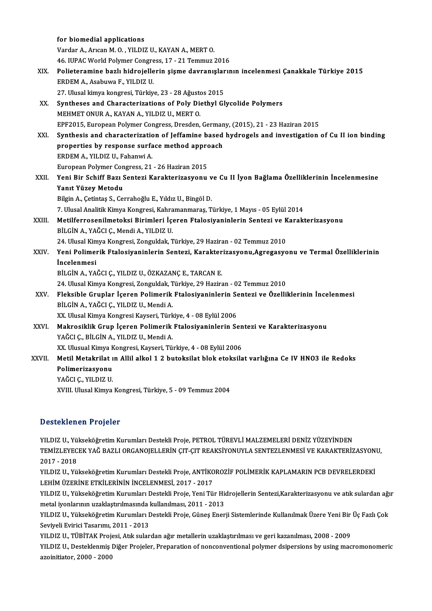|        | for biomedial applications                                                                         |
|--------|----------------------------------------------------------------------------------------------------|
|        | Vardar A., Arican M. O., YILDIZ U., KAYAN A., MERT O.                                              |
|        | 46. IUPAC World Polymer Congress, 17 - 21 Temmuz 2016                                              |
| XIX.   | Polieteramine bazlı hidrojellerin şişme davranışlarının incelenmesi Çanakkale Türkiye 2015         |
|        | ERDEM A., Asabuwa F., YILDIZ U.                                                                    |
|        | 27. Ulusal kimya kongresi, Türkiye, 23 - 28 Ağustos 2015                                           |
| XX.    | Syntheses and Characterizations of Poly Diethyl Glycolide Polymers                                 |
|        | MEHMET ONUR A., KAYAN A., YILDIZ U., MERT O.                                                       |
|        | EPF2015, European Polymer Congress, Dresden, Germany, (2015), 21 - 23 Haziran 2015                 |
| XXI.   | Synthesis and characterization of Jeffamine based hydrogels and investigation of Cu II ion binding |
|        | properties by response surface method approach                                                     |
|        | ERDEM A, YILDIZ U, Fahanwi A                                                                       |
|        | European Polymer Congress, 21 - 26 Haziran 2015                                                    |
| XXII.  | Yeni Bir Schiff Bazı Sentezi Karakterizasyonu ve Cu II İyon Bağlama Özelliklerinin İncelenmesine   |
|        | Yanıt Yüzey Metodu                                                                                 |
|        | Bilgin A., Çetintaş S., Cerrahoğlu E., Yıldız U., Bingöl D.                                        |
|        | 7. Ulusal Analitik Kimya Kongresi, Kahramanmaraş, Türkiye, 1 Mayıs - 05 Eylül 2014                 |
| XXIII. | Metilferrosenilmetoksi Birimleri İçeren Ftalosiyaninlerin Sentezi ve Karakterizasyonu              |
|        | BİLGİN A., YAĞCI Ç., Mendi A., YILDIZ U.                                                           |
|        | 24. Ulusal Kimya Kongresi, Zonguldak, Türkiye, 29 Haziran - 02 Temmuz 2010                         |
| XXIV.  | Yeni Polimerik Ftalosiyaninlerin Sentezi, Karakterizasyonu, Agregasyonu ve Termal Özelliklerinin   |
|        | <i>incelenmesi</i>                                                                                 |
|        | BİLGİN A., YAĞCI Ç., YILDIZ U., ÖZKAZANÇ E., TARCAN E.                                             |
|        | 24. Ulusal Kimya Kongresi, Zonguldak, Türkiye, 29 Haziran - 02 Temmuz 2010                         |
| XXV    | Fleksible Gruplar İçeren Polimerik Ftalosiyaninlerin Sentezi ve Özelliklerinin İncelenmesi         |
|        | BİLGİN A., YAĞCI Ç., YILDIZ U., Mendi A.                                                           |
|        | XX. Ulusal Kimya Kongresi Kayseri, Türkiye, 4 - 08 Eylül 2006                                      |
| XXVI.  | Makrosiklik Grup İçeren Polimerik Ftalosiyaninlerin Sentezi ve Karakterizasyonu                    |
|        | YAĞCI Ç., BİLGİN A., YILDIZ U., Mendi A.                                                           |
|        | XX. Ulusual Kimya Kongresi, Kayseri, Türkiye, 4 - 08 Eylül 2006                                    |
| XXVII. | Metil Metakrilat ın Allil alkol 1 2 butoksilat blok etoksilat varlığına Ce IV HNO3 ile Redoks      |
|        | Polimerizasyonu                                                                                    |
|        | YAĞCI Ç., YILDIZ U.                                                                                |
|        | XVIII. Ulusal Kimya Kongresi, Türkiye, 5 - 09 Temmuz 2004                                          |
|        |                                                                                                    |

#### Desteklenen Projeler

YILDIZ U., Yükseköğretim Kurumları Destekli Proje, PETROL TÜREVLİ MALZEMELERİ DENİZ YÜZEYİNDEN S OSCENCILEN I TIŞSISI<br>YILDIZ U., Yükseköğretim Kurumları Destekli Proje, PETROL TÜREVLİ MALZEMELERİ DENİZ YÜZEYİNDEN<br>TEMİZLEYECEK YAĞ BAZLI ORGANOJELLERİN ÇIT-ÇIT REAKSİYONUYLA SENTEZLENMESİ VE KARAKTERİZASYONU, YILDIZ U., Yü<br>TEMİZLEYEC<br>2017 - 2018<br>YU DIZ U. Yü TEMİZLEYECEK YAĞ BAZLI ORGANOJELLERİN ÇIT-ÇIT REAKSİYONUYLA SENTEZLENMESİ VE KARAKTERİZASYON<br>2017 - 2018<br>YILDIZ U., Yükseköğretim Kurumları Destekli Proje, ANTİKOROZİF POLİMERİK KAPLAMARIN PCB DEVRELERDEKİ<br>LEHİM ÜZERİNE ET

2017 - 2018<br>YILDIZ U., Yükseköğretim Kurumları Destekli Proje, ANTİKO<br>LEHİM ÜZERİNE ETKİLERİNİN İNCELENMESİ, 2017 - 2017<br>YU DIZ U. Yükseköğretim Kurumları Destekli Proje, Yoni Tü YILDIZ U., Yükseköğretim Kurumları Destekli Proje, ANTİKOROZİF POLİMERİK KAPLAMARIN PCB DEVRELERDEKİ<br>LEHİM ÜZERİNE ETKİLERİNİN İNCELENMESİ, 2017 - 2017<br>YILDIZ U., Yükseköğretim Kurumları Destekli Proje, Yeni Tür Hidrojelle

LEHİM ÜZERİNE ETKİLERİNİN İNCELENMESİ, 2017 - 2017<br>YILDIZ U., Yükseköğretim Kurumları Destekli Proje, Yeni Tür Hi<br>metal iyonlarının uzaklaştırılmasında kullanılması, 2011 - 2013<br>YU DIZ U. Yükseköğretim Kurumları Destekli B YILDIZ U., Yükseköğretim Kurumları Destekli Proje, Yeni Tür Hidrojellerin Sentezi,Karakterizasyonu ve atık sulardan ağı<br>metal iyonlarının uzaklaştırılmasında kullanılması, 2011 - 2013<br>YILDIZ U., Yükseköğretim Kurumları Des

metal iyonlarının uzaklaştırılmasında kullanılması, 2011 - 2013<br>YILDIZ U., Yükseköğretim Kurumları Destekli Proje, Güneş Enerji Sistemlerinde Kullanılmak Üzere Yeni Bir Üç Fazlı Çok<br>Seviyeli Evirici Tasarımı, 2011 - 2013 YILDIZ U., Yükseköğretim Kurumları Destekli Proje, Güneş Enerji Sistemlerinde Kullanılmak Üzere Yeni Bir<br>Seviyeli Evirici Tasarımı, 2011 - 2013<br>YILDIZ U., TÜBİTAK Projesi, Atık sulardan ağır metallerin uzaklaştırılması ve

YILDIZ U., Desteklenmiş Diğer Projeler, Preparation of nonconventional polymer dsipersions by using macromonomeric<br>azoinitiator, 2000 - 2000 YILDIZ U., TÜBİTAK Proj<br>YILDIZ U., Desteklenmiş l<br>azoinitiator, 2000 - 2000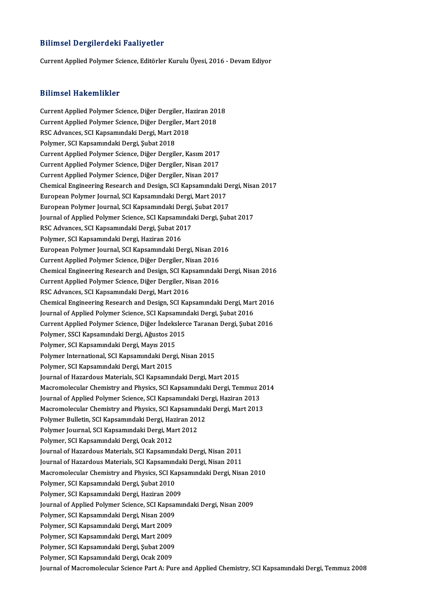#### Bilimsel Dergilerdeki Faaliyetler

Current Applied Polymer Science, Editörler Kurulu Üyesi, 2016 - Devam Ediyor

#### Bilimsel Hakemlikler

Bilimsel Hakemlikler<br>Current Applied Polymer Science, Diğer Dergiler, Haziran 2018<br>Current Applied Polymer Science, Diğer Dergiler, Mert 2018 STITHISCH TRANSITITINIST<br>Current Applied Polymer Science, Diğer Dergiler, Haziran 201<br>Current Applied Polymer Science, Diğer Dergiler, Mart 2018<br>RSC Advances, SCI Kansamındaki Dergi, Mart 2019 Current Applied Polymer Science, Diğer Dergiler, H.<br>Current Applied Polymer Science, Diğer Dergiler, M<br>RSC Advances, SCI Kapsamındaki Dergi, Mart 2018<br>Polymer SCI Kapsamındaki Dergi, Subet 2019 Current Applied Polymer Science, Diğer Dergiler, Mart 2018<br>RSC Advances, SCI Kapsamındaki Dergi, Mart 2018<br>Polymer, SCI Kapsamındaki Dergi, Şubat 2018 RSC Advances, SCI Kapsamındaki Dergi, Mart 2018<br>Polymer, SCI Kapsamındaki Dergi, Şubat 2018<br>Current Applied Polymer Science, Diğer Dergiler, Kasım 2017<br>Current Applied Polymer Science, Diğer Dergiler, Nisan 2017 Polymer, SCI Kapsamındaki Dergi, Şubat 2018<br>Current Applied Polymer Science, Diğer Dergiler, Kasım 2017<br>Current Applied Polymer Science, Diğer Dergiler, Nisan 2017<br>Current Applied Polymer Science, Diğer Dergiler, Nisan 201 Current Applied Polymer Science, Diğer Dergiler, Kasım 2017<br>Current Applied Polymer Science, Diğer Dergiler, Nisan 2017<br>Current Applied Polymer Science, Diğer Dergiler, Nisan 2017<br>Chamical Engineering Besearch and Design, Current Applied Polymer Science, Diğer Dergiler, Nisan 2017<br>Current Applied Polymer Science, Diğer Dergiler, Nisan 2017<br>Chemical Engineering Research and Design, SCI Kapsamındaki Dergi, Nisan 2017<br>European Bolymer Journal, Current Applied Polymer Science, Diğer Dergiler, Nisan 2017<br>Chemical Engineering Research and Design, SCI Kapsamındaki D<br>European Polymer Journal, SCI Kapsamındaki Dergi, Mart 2017<br>European Polymer Journal, SCI Kapsamındak Chemical Engineering Research and Design, SCI Kapsamındaki De<br>European Polymer Journal, SCI Kapsamındaki Dergi, Mart 2017<br>European Polymer Journal, SCI Kapsamındaki Dergi, Şubat 2017<br>Journal of Applied Polymer Science, SCI European Polymer Journal, SCI Kapsamındaki Dergi, Mart 2017<br>European Polymer Journal, SCI Kapsamındaki Dergi, Şubat 2017<br>Journal of Applied Polymer Science, SCI Kapsamındaki Dergi, Şubat 2017<br>PSC Advances, SCI Kapsamındaki European Polymer Journal, SCI Kapsamındaki Dergi, Şubat 2017<br>Journal of Applied Polymer Science, SCI Kapsamındaki Dergi, Şul<br>RSC Advances, SCI Kapsamındaki Dergi, Şubat 2017<br>Polymer, SCI Kapsamındaki Dergi, Haziran 2016 Journal of Applied Polymer Science, SCI Kapsamı<br>RSC Advances, SCI Kapsamındaki Dergi, Şubat 20<br>Polymer, SCI Kapsamındaki Dergi, Haziran 2016<br>European Bolymer Journal, SCI Kapsamındaki De RSC Advances, SCI Kapsamındaki Dergi, Şubat 2017<br>Polymer, SCI Kapsamındaki Dergi, Haziran 2016<br>European Polymer Journal, SCI Kapsamındaki Dergi, Nisan 2016<br>Current Annlied Polymer Science, Dižer Dergiler, Nisan 2016 Polymer, SCI Kapsamındaki Dergi, Haziran 2016<br>European Polymer Journal, SCI Kapsamındaki Dergi, Nisan 20<br>Current Applied Polymer Science, Diğer Dergiler, Nisan 2016<br>Chamisal Engineering Besearsh and Design, SCI Kapsamındak Current Applied Polymer Science, Diğer Dergiler, Nisan 2016<br>Chemical Engineering Research and Design, SCI Kapsamındaki Dergi, Nisan 2016 Current Applied Polymer Science, Diğer Dergiler, Nisan 2016<br>Chemical Engineering Research and Design, SCI Kapsamındak<br>Current Applied Polymer Science, Diğer Dergiler, Nisan 2016<br>RSC Advances, SCI Kapsamındaki Dergi, Mart 2 Chemical Engineering Research and Design, SCI Kap<br>Current Applied Polymer Science, Diğer Dergiler, Ni<br>RSC Advances, SCI Kapsamındaki Dergi, Mart 2016<br>Chamical Engineering Research and Design, SCI Kap RSC Advances, SCI Kapsamındaki Dergi, Mart 2016<br>Chemical Engineering Research and Design, SCI Kapsamındaki Dergi, Mart 2016 RSC Advances, SCI Kapsamındaki Dergi, Mart 2016<br>Chemical Engineering Research and Design, SCI Kapsamındaki Dergi, Mart<br>Journal of Applied Polymer Science, SCI Kapsamındaki Dergi, Şubat 2016<br>Current Applied Polymer Science, Current Applied Polymer Science, Diğer İndekslerce Taranan Dergi, Şubat 2016<br>Polymer, SSCI Kapsamındaki Dergi, Ağustos 2015 Journal of Applied Polymer Science, SCI Kapsamınd<br>Current Applied Polymer Science, Diğer İndeksler<br>Polymer, SSCI Kapsamındaki Dergi, Ağustos 2015<br>Polymer, SCI Kapsamındaki Dergi, Mayıs 2015 Current Applied Polymer Science, Diğer İndeks<br>Polymer, SSCI Kapsamındaki Dergi, Ağustos 20<br>Polymer, SCI Kapsamındaki Dergi, Mayıs 2015<br>Polymer International, SCI Kapsamındaki Dergi Polymer International, SCI Kapsamındaki Dergi, Nisan 2015<br>Polymer, SCI Kapsamındaki Dergi, Mart 2015 Polymer, SCI Kapsamındaki Dergi, Mayıs 2015<br>Polymer International, SCI Kapsamındaki Derg<br>Polymer, SCI Kapsamındaki Dergi, Mart 2015<br>Journal of Hazardous Materials, SCI Kapsamın Journal of Hazardous Materials, SCI Kapsamındaki Dergi, Mart 2015 Polymer, SCI Kapsamındaki Dergi, Mart 2015<br>Journal of Hazardous Materials, SCI Kapsamındaki Dergi, Mart 2015<br>Macromolecular Chemistry and Physics, SCI Kapsamındaki Dergi, Temmuz 2014<br>Journal of Applied Polymor Science, SCI Journal of Hazardous Materials, SCI Kapsamındaki Dergi, Mart 2015<br>Macromolecular Chemistry and Physics, SCI Kapsamındaki Dergi, Temmuz 2<br>Journal of Applied Polymer Science, SCI Kapsamındaki Dergi, Haziran 2013<br>Magramalagul Macromolecular Chemistry and Physics, SCI Kapsamındaki Dergi, Temmuz 20<br>Journal of Applied Polymer Science, SCI Kapsamındaki Dergi, Haziran 2013<br>Macromolecular Chemistry and Physics, SCI Kapsamındaki Dergi, Mart 2013<br>Polym Journal of Applied Polymer Science, SCI Kapsamındaki De<br>Macromolecular Chemistry and Physics, SCI Kapsamındal<br>Polymer Bulletin, SCI Kapsamındaki Dergi, Haziran 2012<br>Polymer Journal, SCI Kapsamındaki Dergi, Mart 2012 Macromolecular Chemistry and Physics, SCI Kapsamın<br>Polymer Bulletin, SCI Kapsamındaki Dergi, Haziran 201<br>Polymer Journal, SCI Kapsamındaki Dergi, Mart 2012<br>Polymer, SCI Kapsamındaki Dergi, Qsak 2012 Polymer Bulletin, SCI Kapsamındaki Dergi, Haziran 2012<br>Polymer Journal, SCI Kapsamındaki Dergi, Mart 2012<br>Polymer, SCI Kapsamındaki Dergi, Ocak 2012 Polymer Journal, SCI Kapsamındaki Dergi, Mart 2012<br>Polymer, SCI Kapsamındaki Dergi, Ocak 2012<br>Journal of Hazardous Materials, SCI Kapsamındaki Dergi, Nisan 2011<br>Journal of Hazardous Materials, SCI Kapsamındaki Dergi, Nisan Polymer, SCI Kapsamındaki Dergi, Ocak 2012<br>Journal of Hazardous Materials, SCI Kapsamındaki Dergi, Nisan 2011<br>Journal of Hazardous Materials, SCI Kapsamındaki Dergi, Nisan 2011<br>Magnamalagular Chamistuv and Physics, SCI Kap Journal of Hazardous Materials, SCI Kapsamındaki Dergi, Nisan 2011<br>Journal of Hazardous Materials, SCI Kapsamındaki Dergi, Nisan 2011<br>Macromolecular Chemistry and Physics, SCI Kapsamındaki Dergi, Nisan 2010<br>Polymar SCI Kap Journal of Hazardous Materials, SCI Kapsamınd<br>Macromolecular Chemistry and Physics, SCI Ka<br>Polymer, SCI Kapsamındaki Dergi, Şubat 2010<br>Polymer, SCI Kapsamındaki Dergi, Hagiron 200 Macromolecular Chemistry and Physics, SCI Kaps<br>Polymer, SCI Kapsamındaki Dergi, Şubat 2010<br>Polymer, SCI Kapsamındaki Dergi, Haziran 2009<br>Journal of Applied Polymer Science, SCI Kapsamı Polymer, SCI Kapsamındaki Dergi, Şubat 2010<br>Polymer, SCI Kapsamındaki Dergi, Haziran 2009<br>Journal of Applied Polymer Science, SCI Kapsamındaki Dergi, Nisan 2009<br>Polymer, SCI Kapsamındaki Dergi, Nisan 2009 Polymer, SCI Kapsamındaki Dergi, Haziran 2009<br>Journal of Applied Polymer Science, SCI Kapsam<br>Polymer, SCI Kapsamındaki Dergi, Nisan 2009<br>Polymer, SCI Kapsamındaki Dergi, Mart 2009 Journal of Applied Polymer Science, SCI Kapsa<br>Polymer, SCI Kapsamındaki Dergi, Nisan 2009<br>Polymer, SCI Kapsamındaki Dergi, Mart 2009<br>Polymer, SCI Kapsamındaki Dergi, Mart 2009 Polymer, SCI Kapsamındaki Dergi, Nisan 2009<br>Polymer, SCI Kapsamındaki Dergi, Mart 2009<br>Polymer, SCI Kapsamındaki Dergi, Mart 2009<br>Polymer, SCI Kapsamındaki Dergi, Subat 2009 Polymer, SCI Kapsamındaki Dergi, Mart 2009<br>Polymer, SCI Kapsamındaki Dergi, Mart 2009<br>Polymer, SCI Kapsamındaki Dergi, Şubat 2009<br>Polymer, SCI Kapsamındaki Dergi, Qeak 2009 Polymer, SCI Kapsamındaki Dergi, Mart 2009<br>Polymer, SCI Kapsamındaki Dergi, Şubat 2009<br>Polymer, SCI Kapsamındaki Dergi, Ocak 2009<br>Journal of Magromologular Scionce Part A. Bu Polymer, SCI Kapsamındaki Dergi, Şubat 2009<br>Polymer, SCI Kapsamındaki Dergi, Ocak 2009<br>Journal of Macromolecular Science Part A: Pure and Applied Chemistry, SCI Kapsamındaki Dergi, Temmuz 2008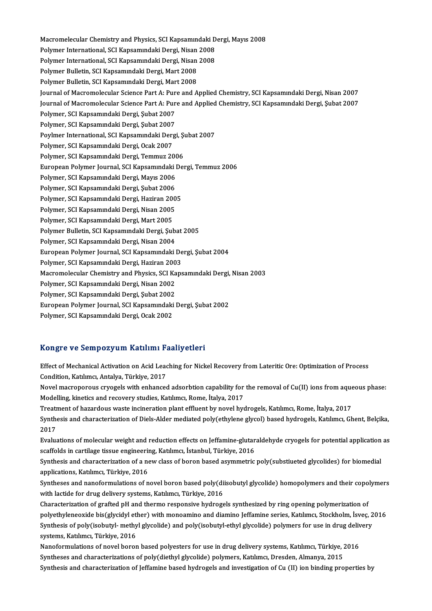Macromelecular Chemistry and Physics, SCI Kapsamındaki Dergi, Mayıs 2008<br>Pekimar International, SCI Kapsamındaki Dergi, Nisan 2008 Macromelecular Chemistry and Physics, SCI Kapsamındaki D<br>Polymer International, SCI Kapsamındaki Dergi, Nisan 2008<br>Polymer International, SCI Kapsamındaki Dergi, Nisan 2008 Macromelecular Chemistry and Physics, SCI Kapsamındaki D<br>Polymer International, SCI Kapsamındaki Dergi, Nisan 2008<br>Polymer International, SCI Kapsamındaki Dergi, Nisan 2008<br>Polymer Bulletin, SCI Kapsamındaki Dergi, Ment 20 Polymer International, SCI Kapsamındaki Dergi, Nisan 2008<br>Polymer International, SCI Kapsamındaki Dergi, Nisan 2008<br>Polymer Bulletin, SCI Kapsamındaki Dergi, Mart 2008<br>Polymer Bulletin, SCI Kapsamındaki Dergi, Mart 2008 Polymer Bulletin, SCI Kapsamındaki Dergi, Mart 2008 Journal of Macromolecular Science Part A: Pure and Applied Chemistry, SCI Kapsamındaki Dergi, Nisan 2007 Polymer Bulletin, SCI Kapsamındaki Dergi, Mart 2008<br>Journal of Macromolecular Science Part A: Pure and Applied Chemistry, SCI Kapsamındaki Dergi, Nisan 2007<br>Journal of Macromolecular Science Part A: Pure and Applied Chemis Journal of Macromolecular Science Part A: Pur<br>Journal of Macromolecular Science Part A: Pur<br>Polymer, SCI Kapsamındaki Dergi, Şubat 2007<br>Polymer, SCI Kapsamındaki Dergi, Subat 2007 Journal of Macromolecular Science Part A: Pur<br>Polymer, SCI Kapsamındaki Dergi, Şubat 2007<br>Polymer, SCI Kapsamındaki Dergi, Şubat 2007<br>Povlmer International, SCI Kapsamındaki Dergi Polymer, SCI Kapsamındaki Dergi, Şubat 2007<br>Polymer, SCI Kapsamındaki Dergi, Şubat 2007<br>Poylmer International, SCI Kapsamındaki Dergi, Şubat 2007<br>Polymer, SCI Kapsamındaki Dergi, Osok 2007 Polymer, SCI Kapsamındaki Dergi, Şubat 2007<br>Poylmer International, SCI Kapsamındaki Derg<br>Polymer, SCI Kapsamındaki Dergi, Ocak 2007<br>Polymer, SCI Kapsamındaki Dergi, Temmuz 20 Poylmer International, SCI Kapsamındaki Dergi, Şı<br>Polymer, SCI Kapsamındaki Dergi, Ocak 2007<br>Polymer, SCI Kapsamındaki Dergi, Temmuz 2006<br>European Polymer Journal, SCI Kansamındaki Det Polymer, SCI Kapsamındaki Dergi, Ocak 2007<br>Polymer, SCI Kapsamındaki Dergi, Temmuz 2006<br>European Polymer Journal, SCI Kapsamındaki Dergi, Temmuz 2006 Polymer, SCI Kapsamındaki Dergi, Temmuz 2006<br>European Polymer Journal, SCI Kapsamındaki I<br>Polymer, SCI Kapsamındaki Dergi, Mayıs 2006<br>Polymer, SCI Kapsamındaki Dergi, Subet 2006 European Polymer Journal, SCI Kapsamındaki l<br>Polymer, SCI Kapsamındaki Dergi, Mayıs 2006<br>Polymer, SCI Kapsamındaki Dergi, Şubat 2006<br>Polymer, SCI Kapsamındaki Dergi, Şubat 2006 Polymer, SCI Kapsamındaki Dergi, Mayıs 2006<br>Polymer, SCI Kapsamındaki Dergi, Şubat 2006<br>Polymer, SCI Kapsamındaki Dergi, Haziran 2005<br>Polymer, SCI Kapsamındaki Dergi, Nisan 2005 Polymer, SCI Kapsamındaki Dergi, Şubat 2006<br>Polymer, SCI Kapsamındaki Dergi, Haziran 200<br>Polymer, SCI Kapsamındaki Dergi, Nisan 2005<br>Polymer, SCI Kapsamındaki Dergi, Mart 2005 Polymer, SCI Kapsamındaki Dergi, Haziran 20<br>Polymer, SCI Kapsamındaki Dergi, Nisan 2005<br>Polymer, SCI Kapsamındaki Dergi, Mart 2005<br>Polymer Pulletin, SCI Kansamındaki Dergi, Sub Polymer, SCI Kapsamındaki Dergi, Nisan 2005<br>Polymer, SCI Kapsamındaki Dergi, Mart 2005<br>Polymer Bulletin, SCI Kapsamındaki Dergi, Şubat 2005<br>Polymer, SCI Kapsamındaki Dergi, Nisan 2004 Polymer, SCI Kapsamındaki Dergi, Mart 2005<br>Polymer Bulletin, SCI Kapsamındaki Dergi, Şuba<br>Polymer, SCI Kapsamındaki Dergi, Nisan 2004<br>European Bolymer Journal, SCI Kapsamındaki l Polymer Bulletin, SCI Kapsamındaki Dergi, Şubat 2005<br>Polymer, SCI Kapsamındaki Dergi, Nisan 2004<br>European Polymer Journal, SCI Kapsamındaki Dergi, Şubat 2004<br>Polymer, SCI Kapsamındaki Dergi, Hagiran 2003 Polymer, SCI Kapsamındaki Dergi, Nisan 2004<br>European Polymer Journal, SCI Kapsamındaki De<br>Polymer, SCI Kapsamındaki Dergi, Haziran 2003<br>Magramalagular Chamistry and Physics, SCI Kaps European Polymer Journal, SCI Kapsamındaki Dergi, Şubat 2004<br>Polymer, SCI Kapsamındaki Dergi, Haziran 2003<br>Macromolecular Chemistry and Physics, SCI Kapsamındaki Dergi, Nisan 2003<br>Polymer, SCI Kapsamındaki Dergi, Nisan 200 Polymer, SCI Kapsamındaki Dergi, Haziran 200<br>Macromolecular Chemistry and Physics, SCI Ka<br>Polymer, SCI Kapsamındaki Dergi, Nisan 2002<br>Polymer, SCI Kapsamındaki Dergi, Subet 2002 Macromolecular Chemistry and Physics, SCI Ka<br>Polymer, SCI Kapsamındaki Dergi, Nisan 2002<br>Polymer, SCI Kapsamındaki Dergi, Şubat 2002<br>European Polymer Journal, SCI Kapsamındaki l Polymer, SCI Kapsamındaki Dergi, Nisan 2002<br>Polymer, SCI Kapsamındaki Dergi, Şubat 2002<br>European Polymer Journal, SCI Kapsamındaki Dergi, Şubat 2002<br>Polymer, SCI Kapsamındaki Dergi, Osak 2002 Polymer, SCI Kapsamındaki Dergi, Şubat 2002<br>European Polymer Journal, SCI Kapsamındaki<br>Polymer, SCI Kapsamındaki Dergi, Ocak 2002

# Polymer, SCI Kapsamındaki Dergi, Ocak 2002<br>Kongre ve Sempozyum Katılımı Faaliyetleri

Kongre ve Sempozyum Katılımı Faaliyetleri<br>Effect of Mechanical Activation on Acid Leaching for Nickel Recovery from Lateritic Ore: Optimization of Process<br>Condition Katluma: Antalya Türkiye 2017 Effect of Mechanical Activation on Acid Lead<br>Condition, Katılımcı, Antalya, Türkiye, 2017<br>Naval magnananava awıcasla yütb anhanasa Condition, Katılımcı, Antalya, Türkiye, 2017<br>Novel macroporous cryogels with enhanced adsorbtion capability for the removal of Cu(II) ions from aqueous phase:

Modelling, kinetics and recovery studies, Katılımcı, Rome, İtalya, 2017 Novel macroporous cryogels with enhanced adsorbtion capability for the removal of Cu(II) ions from aque<br>Modelling, kinetics and recovery studies, Katılımcı, Rome, İtalya, 2017<br>Treatment of hazardous waste incineration plan

Synthesis and characterization of Diels-Alder mediated poly(ethylene glycol) based hydrogels, Katılımcı, Ghent, Belçika,<br>2017 Treatr<br>Synth<br>2017<br>Evalue Synthesis and characterization of Diels-Alder mediated poly(ethylene glycol) based hydrogels, Katılımcı, Ghent, Belçika,<br>2017<br>Evaluations of molecular weight and reduction effects on Jeffamine-glutaraldehyde cryogels for p

2017<br>Evaluations of molecular weight and reduction effects on Jeffamine-glutar<br>scaffolds in cartilage tissue engineering, Katılımcı, İstanbul, Türkiye, 2016<br>Synthesis and characterization of a new class of haran based asym Evaluations of molecular weight and reduction effects on Jeffamine-glutaraldehyde cryogels for potential application<br>scaffolds in cartilage tissue engineering, Katılımcı, İstanbul, Türkiye, 2016<br>Synthesis and characterizat

scaffolds in cartilage tissue engineering, Katılımcı, İstanbul, Türkiye, 2016<br>Synthesis and characterization of a new class of boron based asymmetric poly(substiueted glycolides) for biomedial<br>applications, Katılımcı, Türk Synthesis and characterization of a new class of boron based asymmetric poly(substiueted glycolides) for biomedial<br>applications, Katılımcı, Türkiye, 2016<br>Syntheses and nanoformulations of novel boron based poly(diisobutyl

applications, Katılımcı, Türkiye, 2016<br>Syntheses and nanoformulations of novel boron based poly(di<br>with lactide for drug delivery systems, Katılımcı, Türkiye, 2016<br>Characterization of systemd nH and therme responsive hydro Syntheses and nanoformulations of novel boron based poly(diisobutyl glycolide) homopolymers and their copo<br>with lactide for drug delivery systems, Katılımcı, Türkiye, 2016<br>Characterization of grafted pH and thermo responsi

with lactide for drug delivery systems, Katılımcı, Türkiye, 2016<br>Characterization of grafted pH and thermo responsive hydrogels synthesized by ring opening polymerization of<br>polyethyleneoxide bis(glycidyl ether) with monoa Characterization of grafted pH and thermo responsive hydrogels synthesized by ring opening polymerization of<br>polyethyleneoxide bis(glycidyl ether) with monoamino and diamino Jeffamine series, Katılımcı, Stockholm, İsveç, 2 polyethyleneoxide bis(glycidyl et<br>Synthesis of poly(isobutyl- methy<br>systems, Katılımcı, Türkiye, 2016<br>Nanaformulations of noval boron Synthesis of poly(isobutyl- methyl glycolide) and poly(isobutyl-ethyl glycolide) polymers for use in drug delivery<br>systems, Katılımcı, Türkiye, 2016<br>Nanoformulations of novel boron based polyesters for use in drug delivery

Nanoformulations of novel boron based polyesters for use in drug delivery systems, Katılımcı, Türkiye, 2016 Synthesis and characterization of Jeffamine based hydrogels and investigation of Cu (II) ion binding properties by